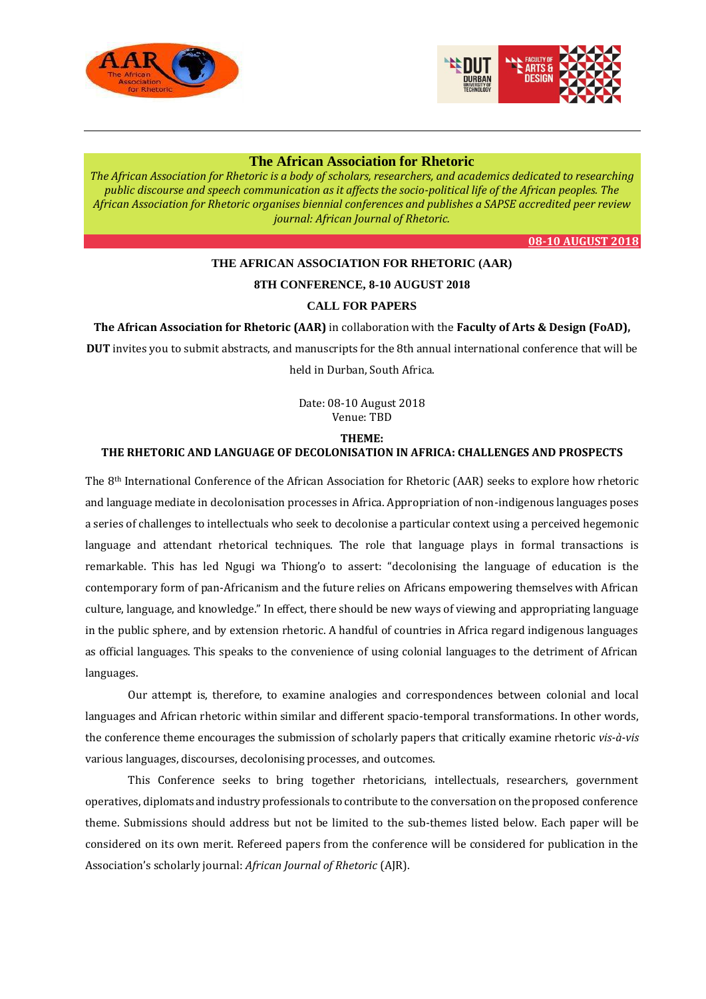



## **[The African Association for Rhetoric](https://aarsouthafrica.wordpress.com/)**

*The African Association for Rhetoric is a body of scholars, researchers, and academics dedicated to researching public discourse and speech communication as it affects the socio-political life of the African peoples. The African Association for Rhetoric organises biennial conferences and publishes a SAPSE accredited peer review journal: African Journal of Rhetori[c.](https://aarsouthafrica.wordpress.com/2015/05/08/2016-rhetoric-conference-in-namibia/)*

**08-10 [AUGUST](https://aarsouthafrica.wordpress.com/2015/05/08/2016-rhetoric-conference-in-namibia/) 2018**

# **THE AFRICAN ASSOCIATION FOR RHETORIC (AAR) 8TH CONFERENCE, 8-10 AUGUST 2018 CALL FOR PAPERS**

## **The African Association for Rhetoric (AAR)** in collaboration with the **Faculty of Arts & Design (FoAD),**

**DUT** invites you to submit abstracts, and manuscripts for the 8th annual international conference that will be held in Durban, South Africa.

> Date: 08-10 August 2018 Venue: TBD

#### **THEME:**

## **THE RHETORIC AND LANGUAGE OF DECOLONISATION IN AFRICA: CHALLENGES AND PROSPECTS**

The 8th International Conference of the African Association for Rhetoric (AAR) seeks to explore how rhetoric and language mediate in decolonisation processes in Africa. Appropriation of non-indigenous languages poses a series of challenges to intellectuals who seek to decolonise a particular context using a perceived hegemonic language and attendant rhetorical techniques. The role that language plays in formal transactions is remarkable. This has led Ngugi wa Thiong'o to assert: "decolonising the language of education is the contemporary form of pan-Africanism and the future relies on Africans empowering themselves with African culture, language, and knowledge." In effect, there should be new ways of viewing and appropriating language in the public sphere, and by extension rhetoric. A handful of countries in Africa regard indigenous languages as official languages. This speaks to the convenience of using colonial languages to the detriment of African languages.

Our attempt is, therefore, to examine analogies and correspondences between colonial and local languages and African rhetoric within similar and different spacio-temporal transformations. In other words, the conference theme encourages the submission of scholarly papers that critically examine rhetoric *vis-à-vis* various languages, discourses, decolonising processes, and outcomes.

This Conference seeks to bring together rhetoricians, intellectuals, researchers, government operatives, diplomats and industry professionals to contribute to the conversation on the proposed conference theme. Submissions should address but not be limited to the sub-themes listed below. Each paper will be considered on its own merit. Refereed papers from the conference will be considered for publication in the Association's scholarly journal: *African Journal of Rhetoric* (AJR).